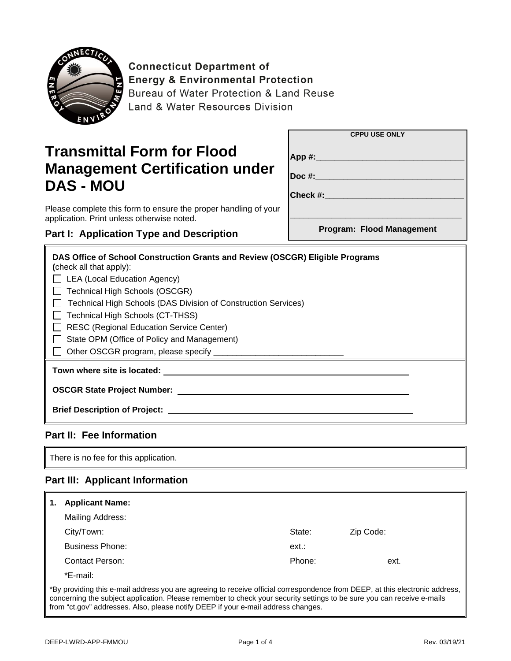

**Connecticut Department of Energy & Environmental Protection** Bureau of Water Protection & Land Reuse Land & Water Resources Division

# **Transmittal Form for Flood Management Certification under DAS - MOU**

|             | <b>CPPU USE ONLY</b>      |
|-------------|---------------------------|
| App #:      |                           |
| $Doc$ #:    |                           |
| Check $#$ : |                           |
|             |                           |
|             | Program: Flood Management |

Please complete this form to ensure the proper handling of your application. Print unless otherwise noted.

### **Part I: Application Type and Description**

| DAS Office of School Construction Grants and Review (OSCGR) Eligible Programs |  |  |
|-------------------------------------------------------------------------------|--|--|
| (check all that apply):                                                       |  |  |
| LEA (Local Education Agency)                                                  |  |  |
| Technical High Schools (OSCGR)                                                |  |  |
| Technical High Schools (DAS Division of Construction Services)                |  |  |
| □ Technical High Schools (CT-THSS)                                            |  |  |
| RESC (Regional Education Service Center)                                      |  |  |
| State OPM (Office of Policy and Management)                                   |  |  |
| □ Other OSCGR program, please specify <u>□</u>                                |  |  |
| Town where site is located:                                                   |  |  |
| <b>OSCGR State Project Number:</b>                                            |  |  |
| <b>Brief Description of Project:</b>                                          |  |  |

#### **Part II: Fee Information**

There is no fee for this application.

#### **Part III: Applicant Information**

|                                                                                                                                                                                                                                                        | <b>Applicant Name:</b> |        |           |
|--------------------------------------------------------------------------------------------------------------------------------------------------------------------------------------------------------------------------------------------------------|------------------------|--------|-----------|
|                                                                                                                                                                                                                                                        | Mailing Address:       |        |           |
|                                                                                                                                                                                                                                                        | City/Town:             | State: | Zip Code: |
|                                                                                                                                                                                                                                                        | <b>Business Phone:</b> | ext:   |           |
|                                                                                                                                                                                                                                                        | Contact Person:        | Phone: | ext.      |
|                                                                                                                                                                                                                                                        | *E-mail:               |        |           |
| *By providing this e-mail address you are agreeing to receive official correspondence from DEEP, at this electronic address,<br>concerning the subject application. Please remember to check your security settings to be sure you can receive e-mails |                        |        |           |

from "ct.gov" addresses. Also, please notify DEEP if your e-mail address changes.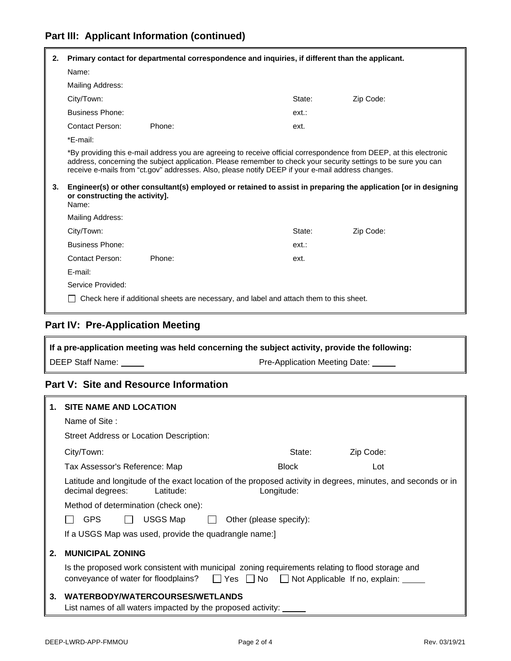### **Part III: Applicant Information (continued)**

| 2. |                                | Primary contact for departmental correspondence and inquiries, if different than the applicant.                                                                                                                                                                                                                                                                                                                                                                |        |           |
|----|--------------------------------|----------------------------------------------------------------------------------------------------------------------------------------------------------------------------------------------------------------------------------------------------------------------------------------------------------------------------------------------------------------------------------------------------------------------------------------------------------------|--------|-----------|
|    | Name:                          |                                                                                                                                                                                                                                                                                                                                                                                                                                                                |        |           |
|    | Mailing Address:               |                                                                                                                                                                                                                                                                                                                                                                                                                                                                |        |           |
|    | City/Town:                     |                                                                                                                                                                                                                                                                                                                                                                                                                                                                | State: | Zip Code: |
|    | <b>Business Phone:</b>         |                                                                                                                                                                                                                                                                                                                                                                                                                                                                | ext.:  |           |
|    | Contact Person:                | Phone:                                                                                                                                                                                                                                                                                                                                                                                                                                                         | ext.   |           |
|    | *E-mail:                       |                                                                                                                                                                                                                                                                                                                                                                                                                                                                |        |           |
| 3. | or constructing the activity]. | *By providing this e-mail address you are agreeing to receive official correspondence from DEEP, at this electronic<br>address, concerning the subject application. Please remember to check your security settings to be sure you can<br>receive e-mails from "ct.gov" addresses. Also, please notify DEEP if your e-mail address changes.<br>Engineer(s) or other consultant(s) employed or retained to assist in preparing the application [or in designing |        |           |
|    | Name:                          |                                                                                                                                                                                                                                                                                                                                                                                                                                                                |        |           |
|    | Mailing Address:               |                                                                                                                                                                                                                                                                                                                                                                                                                                                                |        |           |
|    | City/Town:                     |                                                                                                                                                                                                                                                                                                                                                                                                                                                                | State: | Zip Code: |
|    | <b>Business Phone:</b>         |                                                                                                                                                                                                                                                                                                                                                                                                                                                                | ext.:  |           |
|    | Contact Person:                | Phone:                                                                                                                                                                                                                                                                                                                                                                                                                                                         | ext.   |           |
|    | E-mail:                        |                                                                                                                                                                                                                                                                                                                                                                                                                                                                |        |           |
|    | Service Provided:              |                                                                                                                                                                                                                                                                                                                                                                                                                                                                |        |           |
|    |                                | Check here if additional sheets are necessary, and label and attach them to this sheet.                                                                                                                                                                                                                                                                                                                                                                        |        |           |

## **Part IV: Pre-Application Meeting**

| If a pre-application meeting was held concerning the subject activity, provide the following: |                               |
|-----------------------------------------------------------------------------------------------|-------------------------------|
| DEEP Staff Name:                                                                              | Pre-Application Meeting Date: |

### **Part V: Site and Resource Information**

|    | <b>SITE NAME AND LOCATION</b>                                                                                                                                                                       |  |  |
|----|-----------------------------------------------------------------------------------------------------------------------------------------------------------------------------------------------------|--|--|
|    | Name of Site:                                                                                                                                                                                       |  |  |
|    | Street Address or Location Description:                                                                                                                                                             |  |  |
|    | Zip Code:<br>City/Town:<br>State:                                                                                                                                                                   |  |  |
|    | <b>Block</b><br>Tax Assessor's Reference: Map<br>Lot                                                                                                                                                |  |  |
|    | Latitude and longitude of the exact location of the proposed activity in degrees, minutes, and seconds or in<br>Longitude:<br>decimal degrees:<br>Latitude:                                         |  |  |
|    | Method of determination (check one):                                                                                                                                                                |  |  |
|    | <b>GPS</b><br>USGS Map<br>Other (please specify):                                                                                                                                                   |  |  |
|    | If a USGS Map was used, provide the quadrangle name:                                                                                                                                                |  |  |
| 2. | <b>MUNICIPAL ZONING</b>                                                                                                                                                                             |  |  |
|    | Is the proposed work consistent with municipal zoning requirements relating to flood storage and<br>conveyance of water for floodplains? $\Box$ Yes $\Box$ No $\Box$ Not Applicable If no, explain: |  |  |
| 3. | WATERBODY/WATERCOURSES/WETLANDS<br>List names of all waters impacted by the proposed activity:                                                                                                      |  |  |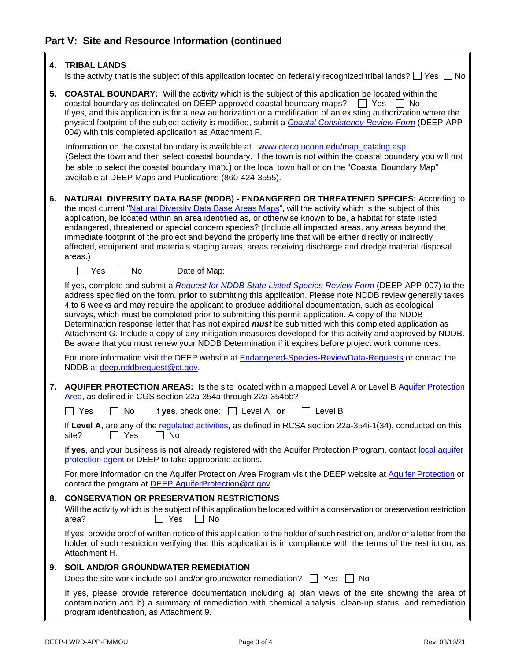IF.

| 4. | <b>TRIBAL LANDS</b>                                                                                                                                                                                                                                                                                                                                                                                                                                                                                                                                                                                                                                                                                                                                          |
|----|--------------------------------------------------------------------------------------------------------------------------------------------------------------------------------------------------------------------------------------------------------------------------------------------------------------------------------------------------------------------------------------------------------------------------------------------------------------------------------------------------------------------------------------------------------------------------------------------------------------------------------------------------------------------------------------------------------------------------------------------------------------|
|    | Is the activity that is the subject of this application located on federally recognized tribal lands? $\Box$ Yes $\Box$ No                                                                                                                                                                                                                                                                                                                                                                                                                                                                                                                                                                                                                                   |
| 5. | <b>COASTAL BOUNDARY:</b> Will the activity which is the subject of this application be located within the<br>coastal boundary as delineated on DEEP approved coastal boundary maps?<br>   Yes    No<br>If yes, and this application is for a new authorization or a modification of an existing authorization where the<br>physical footprint of the subject activity is modified, submit a Coastal Consistency Review Form (DEEP-APP-<br>004) with this completed application as Attachment F.                                                                                                                                                                                                                                                              |
|    | Information on the coastal boundary is available at www.cteco.uconn.edu/map_catalog.asp<br>(Select the town and then select coastal boundary. If the town is not within the coastal boundary you will not<br>be able to select the coastal boundary map.) or the local town hall or on the "Coastal Boundary Map"<br>available at DEEP Maps and Publications (860-424-3555).                                                                                                                                                                                                                                                                                                                                                                                 |
| 6. | NATURAL DIVERSITY DATA BASE (NDDB) - ENDANGERED OR THREATENED SPECIES: According to<br>the most current "Natural Diversity Data Base Areas Maps", will the activity which is the subject of this<br>application, be located within an area identified as, or otherwise known to be, a habitat for state listed<br>endangered, threatened or special concern species? (Include all impacted areas, any areas beyond the<br>immediate footprint of the project and beyond the property line that will be either directly or indirectly<br>affected, equipment and materials staging areas, areas receiving discharge and dredge material disposal<br>areas.)                                                                                                   |
|    | $\Box$ Yes<br>No<br>Date of Map:                                                                                                                                                                                                                                                                                                                                                                                                                                                                                                                                                                                                                                                                                                                             |
|    | If yes, complete and submit a Request for NDDB State Listed Species Review Form (DEEP-APP-007) to the<br>address specified on the form, prior to submitting this application. Please note NDDB review generally takes<br>4 to 6 weeks and may require the applicant to produce additional documentation, such as ecological<br>surveys, which must be completed prior to submitting this permit application. A copy of the NDDB<br>Determination response letter that has not expired must be submitted with this completed application as<br>Attachment G. Include a copy of any mitigation measures developed for this activity and approved by NDDB.<br>Be aware that you must renew your NDDB Determination if it expires before project work commences. |
|    | For more information visit the DEEP website at Endangered-Species-ReviewData-Requests or contact the<br>NDDB at deep.nddbrequest@ct.gov.                                                                                                                                                                                                                                                                                                                                                                                                                                                                                                                                                                                                                     |
| 7. | AQUIFER PROTECTION AREAS: Is the site located within a mapped Level A or Level B Aquifer Protection<br>Area, as defined in CGS section 22a-354a through 22a-354bb?                                                                                                                                                                                                                                                                                                                                                                                                                                                                                                                                                                                           |
|    | $\sqsupset$ Yes<br>If yes, check one: $\Box$ Level A or<br>No<br>Level B                                                                                                                                                                                                                                                                                                                                                                                                                                                                                                                                                                                                                                                                                     |
|    | If Level A, are any of the regulated activities, as defined in RCSA section 22a-354i-1(34), conducted on this<br>No<br>site?<br>Yes                                                                                                                                                                                                                                                                                                                                                                                                                                                                                                                                                                                                                          |
|    | If yes, and your business is not already registered with the Aquifer Protection Program, contact local aquifer<br>protection agent or DEEP to take appropriate actions.                                                                                                                                                                                                                                                                                                                                                                                                                                                                                                                                                                                      |
|    | For more information on the Aquifer Protection Area Program visit the DEEP website at Aquifer Protection or<br>contact the program at DEEP. AquiferProtection@ct.gov.                                                                                                                                                                                                                                                                                                                                                                                                                                                                                                                                                                                        |
| 8. | <b>CONSERVATION OR PRESERVATION RESTRICTIONS</b><br>Will the activity which is the subject of this application be located within a conservation or preservation restriction<br>$\Box$ No<br>area?<br>_l Yes                                                                                                                                                                                                                                                                                                                                                                                                                                                                                                                                                  |
|    | If yes, provide proof of written notice of this application to the holder of such restriction, and/or or a letter from the<br>holder of such restriction verifying that this application is in compliance with the terms of the restriction, as<br>Attachment H.                                                                                                                                                                                                                                                                                                                                                                                                                                                                                             |
| 9. | <b>SOIL AND/OR GROUNDWATER REMEDIATION</b>                                                                                                                                                                                                                                                                                                                                                                                                                                                                                                                                                                                                                                                                                                                   |
|    | Does the site work include soil and/or groundwater remediation?<br>__ Yes __ No                                                                                                                                                                                                                                                                                                                                                                                                                                                                                                                                                                                                                                                                              |
|    | If yes, please provide reference documentation including a) plan views of the site showing the area of<br>contamination and b) a summary of remediation with chemical analysis, clean-up status, and remediation<br>program identification, as Attachment 9.                                                                                                                                                                                                                                                                                                                                                                                                                                                                                                 |